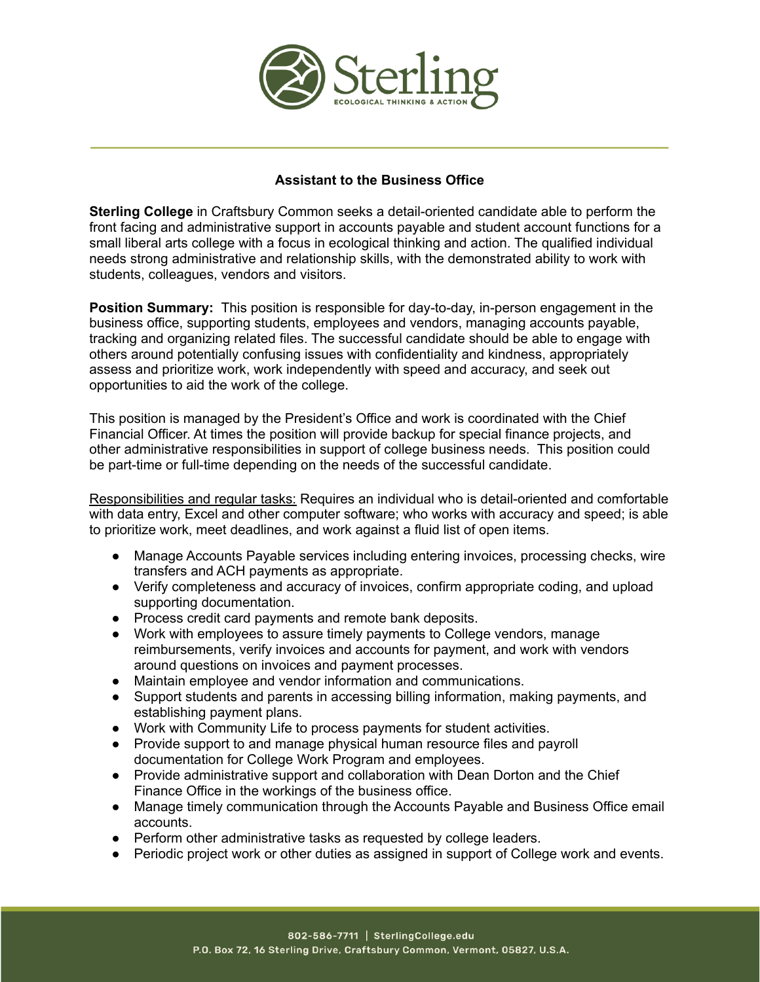

# **Assistant to the Business Office**

**Sterling College** in Craftsbury Common seeks a detail-oriented candidate able to perform the front facing and administrative support in accounts payable and student account functions for a small liberal arts college with a focus in ecological thinking and action. The qualified individual needs strong administrative and relationship skills, with the demonstrated ability to work with students, colleagues, vendors and visitors.

**Position Summary:** This position is responsible for day-to-day, in-person engagement in the business office, supporting students, employees and vendors, managing accounts payable, tracking and organizing related files. The successful candidate should be able to engage with others around potentially confusing issues with confidentiality and kindness, appropriately assess and prioritize work, work independently with speed and accuracy, and seek out opportunities to aid the work of the college.

This position is managed by the President's Office and work is coordinated with the Chief Financial Officer. At times the position will provide backup for special finance projects, and other administrative responsibilities in support of college business needs. This position could be part-time or full-time depending on the needs of the successful candidate.

Responsibilities and regular tasks: Requires an individual who is detail-oriented and comfortable with data entry, Excel and other computer software; who works with accuracy and speed; is able to prioritize work, meet deadlines, and work against a fluid list of open items.

- Manage Accounts Payable services including entering invoices, processing checks, wire transfers and ACH payments as appropriate.
- Verify completeness and accuracy of invoices, confirm appropriate coding, and upload supporting documentation.
- Process credit card payments and remote bank deposits.
- Work with employees to assure timely payments to College vendors, manage reimbursements, verify invoices and accounts for payment, and work with vendors around questions on invoices and payment processes.
- Maintain employee and vendor information and communications.
- Support students and parents in accessing billing information, making payments, and establishing payment plans.
- Work with Community Life to process payments for student activities.
- Provide support to and manage physical human resource files and payroll documentation for College Work Program and employees.
- Provide administrative support and collaboration with Dean Dorton and the Chief Finance Office in the workings of the business office.
- Manage timely communication through the Accounts Payable and Business Office email accounts.
- Perform other administrative tasks as requested by college leaders.
- **●** Periodic project work or other duties as assigned in support of College work and events.